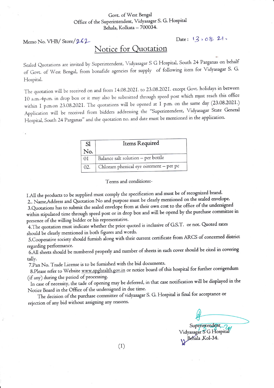## Govt. of West Bengal Office of the Superintendent, Vidyasagar S. G. Hospital Behala, Kolkata - 700034.

Memo No. VHB/ Store/  $262$ 

## Notice for Quotation

Sealed Quotations are invited by Superintendent, Vidyasagar S G Hospital, South 24 Parganas on behalf of Govt. of West Bengal, from bonafide agencies for supply of following item for Vidyasagar S. G. Hospital.

The quotation will be received on and from 14.08.2021. to 23.08.2021. except Govt. holidays in between IO a.m.-4p.m. in drop box or it may also be submitted through speed post which must reach this office within I p.m.on 23.08.2021. The quotations will be opened at I p.m. on the same day (23.08.2021.) Application will be received from bidders addressing the "Superintendent, Vidyasagar State General Hospital, South 24 Parganas" and the quotation no. and date must be mentioned in the application.

| S1  | Items Required                         |
|-----|----------------------------------------|
| No. |                                        |
| 0I  | Balance salt solution - per bottle     |
| 02. | Chloram phenical eye ointment - per pc |

Terms and conditions:-

1.All the products to be supplied must comply the specification and must be of recognized brand.

2.. Name,Address and Quotation No and purpose must be clearly mentioned on the sealed envelope. 3.Quotations has to submit the sealed envelope from at their own cost to the office of the undersigned within stipulated time through speed post or in drop box and will be opend by the purchase committee in presence of the willing bidder or his representative.

4. The quotation must indicate whether the price quoted is inclusive of G.S.T. or not. Quoted rates should be clearly mentioned in both figures and words.

5. Cooperative society should furnish along with their current certificate from ARCS of concerned district regarding performance.

6.A11sheers should be numbered properly and number of sheets rn each cover should be cited in covering tally.

7.Pan No. Trade License is to be furnished with the bid documents.

8.Please refer to Website www.spghealth.gov.in or notice board of this hospital for further corrigendum (if any) during the period of processing'

In case of necessity, the tade of opening may be deferred, in that case notification will be displayed in the Notice Board in the Office of the undersigned in due time.

The decision of the purchase committee of vidyasagar S. G. Hospital is final for acceptance or rejection of any bid without assigning any reasons'

Superintendent 7

Vidyasagar S'G Hospital<br>Behala ,Kol-34.

 $(1)$